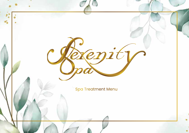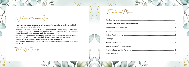Step back from your stress and allow yourself to be submerged in a world of pure indulgence and total relaxation.

Guests at the Spa can choose from a variety of treatments which include spa therapies, beauty treatments and medical aesthetics using the finest products that will beautify and balance both the body and mind.

Our team of experienced and highly qualified therapists are on hand to guide you through a Spa journey designed especially for you and are more than happy to advise on treatments bespoke to your requirements.

The Spa has been designed to allow you to escape to another world - we hope you like it.

The Spa Team



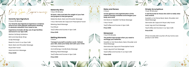# periences

**Serenity Spa Signature** 2 Hours 45 Minutes

**Our Serenity Spa Signature Experience combines some of our most popular treatments resulting in absolute relaxation from head to toe.** 

**Experience includes all day use of spa facilities and lunch in our Spa Café.**

Marine Full Body Exfoliation

Mint and Aloe Body Wrap

Scalp Massage

Break for lunch in our Spa Café

Back, Neck and Shoulder Massage Royal Elixir Facial

Hand and Arm Massage.

**Price €245**

## **Maternity Bliss**

1 Hour 45 Minutes

**Sit back, relax and take the weight of your feet and prepare to feel pampered.**

Maternity Back, Neck and Shoulder Massage 1 Hour Germaine de Capuccini Prescriptive Facial Relaxing Head Massage Foot Ritual Tea/Coffee and Scones in Spa Café

**Price €145**

#### **Melting Moments**  2 Hours

**Transport yourself to another world. Refresh your skin, ease your body and calm your mind.** Full Body Exfoliation Aromatherapy Candle Body Massage Relaxing Head Massage Tea/Coffee and Scones in Spa Café **Price €160**



**Let the glamour and sophistication of this sublime therapy revitalise and energise your body and mind.**

Hot Stone or Swedish Full Body Massage

1 Hour Facial

Tea/Coffee and Scones in Spa Café

**Price €160**

#### **Manpower**

1 hour 45 Minutes

**The perfect Spa escape when you need to recharge your batteries.**

Swedish or Hot Stone Back, Neck, Shoulder and Head Massage

Germaine de Capuccini Prescriptive Facial

Lower Leg and Foot Massage

Tea/Coffee and Scones in our Spa Café

**Price €145** 



## **Simply Scrumptious**

1 hour 45 Minutes

**A real favourite for those who wish to really relax and unwind.** 

Swedish or Hot Stone Back, Neck, Shoulder and Head Massage

Germaine de Capuccini Royal Jelly Facial

Lower Leg and Foot Massage

Tea/Coffee and Scones in our Spa Café

**Price €145**

(Price includes €10 voucher off any home care product over €50)

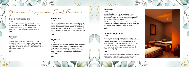Opermaine de Capuccini Facial Therapiez

#### **Classic Spa Prescriptive**

1 Hour

The perfect facial therapy. Our skilled team of therapists will provide a bespoke treatment tailored especially for your skin's needs, regardless of your skin type, age or concerns.

#### **€80**

#### **Purexpert**

1 Hour

An effective range designed for young, oily or acne prone skin. Using gentle but effective ingredients that don't strip the skin, Purexpert regulates oil production for a clear, healthy and shine free complexion.

**€80**

#### **So Delicate**

1 Hour

This hypo-allergenic range contains a blend of natural plant extracts and our exclusive Defensive Complex to soothe sensitive skin. By reinforcing the protective barrier, So Delicate increases the skins tolerance so that over time it becomes less reactive.

**€80**

#### **Royal Elixir**

1 Hour

Packed with antioxidants and essential nutrients, Royal Jelly is ideal for tired and stressed skin. Poria Cocos and Royal Jelly extract help the skin regain its natural immunity against daily aggressions for a radiant and healthy complexion.

**€80**



Combining 3 types of Hyaluronic Acid with thermal aqua from a Japanese volcanic spring, Hydracure deeply hydrates, repairs and protects skin suffering from dehydration.

This therapy will provide immediate and lasting hydration, a complete feeling of comfort and your skin will be left smooth, soft and glowing.

**€85**

#### **For Men Energy Facial**

1 Hour

A treatment designed specifically to meet the needs of men's skin. Infused with a blend of plant extracts and vitamin, this facial therapy is not only relaxing but also rejuvenates the skin, often irritated by shaving whilst working against the appearance of wrinkles, dryness and signs of premature ageing.

#### **€85**

*All of our 1 hour facials include a highly relaxing facial massage and choice of a head, hand and arm or foot and lower leg massage when your facial mask is working its magic.*





**3**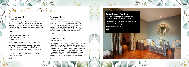Advanced Facial Therapies

## **Excel Therapy O2**

1 Hour 15 Minutes

An intelligent range that prevents and repairs skin damage caused by pollution and artificial blue light. Excel Therapy O2 delivers oxygen deep into the cells of the skin to provide healthy, detoxified, and radiant skin.

#### **€105**

## **Timexpert Radiance C+ Illuminating Facial**

1 Hour 15 Minutes

An innovative facial treatment that increases firmness and generates new collagen whilst reducing dark spots and evening pigmentation. Incorporating a patented formulation which increases the benefits of pure Vitamin C by 6 times.

Vitamin C provides the skin with luminosity, vitality and radiance.

**€105**

## **Timexpert Rides**

1 Hour 15 Minutes

A truly innovate and powerful anti-ageing facial therapy that helps the skin recover its youthfulness. This is the ultimate solution to reduce lines and wrinkles. Exclusive active ingredients Tissulage Tech and BTX Tripeptine combat both dynamic and static wrinkles.

**€105**

#### **Timexpert Lift IN**

1 Hour 15 Minutes

An intelligent treatment that emulates the effects of surgical lifting, providing flacid or sagging skin with volume, lift and firmness. At the heart of this treatment lies our unique and exclusive complex, V-Matrix. With flaccidity in the skin beginning in the deepest layers, V-Matrix works at the root of the problem to rebuild and restructure the dermis, transforming the skin from the inside out.

**€105**

- 
- 
- 
- 





**5**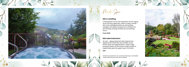

#### **Micro needling**

A therapeutic tool for the treatment of anti-aging, acne scarring, aged skin, stretch marks, uneven skin tone and pigmentation by stimulating collagen and elastin production to thicken the skin thereby erasing wrinkles and smoothing scars.

**From €130**

#### **Microdermabrasion**

An anti – aging treatment that reduces the appearance of fine lies and wrinkles, acne, brown spots and pigmentation, using a high pressure stream of aluminium oxide crystals to superficially peel the upper layer of the skin.

#### **€75**

*All Medi-Spa treatments are conducted following a full detailed medical questionnaire and client suitability.*







**7**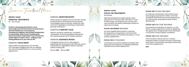

Environ Treatment Menu

**electro-sonic ESSENTIAL TREATMENTS**  60 - 90 minutes

**Environ's pioneering dual electro-sonic technology sets the benchmark for professional skincare treatments. Low frequency sonophoresis together with pulsed iontophoresis in combination with Environ's professional skincare products help deliver more of what skin needs where it needs it most – making a real lasting difference to your skin for life.** 

#### ESSENTIAL **YOUTH RESET**

Helps soften the appearance of fi ne lines, sun-damage & sagging skin with our peptide and vitamin packed facial for a more youthful appearance.

#### ESSENTIAL **MOISTURE BOOST**

Helps reduce the appearance of fine lines caused by dehydration and increases the plumpness of the deeper layers of the skin. Hyaluronic Acid is the hero ingredient, promoting a moisturised, glowing-looking skin.

#### ESSENTIAL **COMFORT CALM**

Ideal for sensitive, irritated skin. A powerful combination of smart ingredients, leaving the skin feeling soothed with a healthy radiance.

#### ESSENTIAL **RADIANCE REVEAL**

A targeted solution for sun-damaged or pigmented skin. Boosting the skin with the correct combination of ingredients, results in flawless, radiant-looking skin.

60mins **€80** 90mins **€110**



Specially developed to target specific areas using Environ's revolutionary dual electro-sonic DF technology, ensuring that your primary skin care concerns are directly addressed. Perfect for when time is limited.

#### **FOCUS-ON FROWN** treatment

An iconic peptide blend assists in reducing the appearance of expression and frown lines around the eyes and forehead resulting in a more youthful appearance.

#### **FOCUS-ON** EYE treatment

Combining our powerful peptide complexes with Hyaluronic Acid ensures a completely refreshed, hydrated and youthful appearance.

#### **FOCUS-ON** TEXTURE treatment

An intensive combination of the three Environ technologies; Dual ELECRO-SONIC, COOL PEEL and MICRO PERFUSION improve the appearance of mild scarring, revealing smoother, evenly textured skin.

#### **FOCUS-ON** EVEN TONE treatment

The powerful combination of vitamin A, C and AHA is a unique approach to assist in lightening the appearance of pigmented marks resulting in a more even-toned, brighter complexion.

#### **FOCUS-ON** FILLER treatment

This innovative, intense and non-invasive treatment helps to smooth the look of facial lines and restore a rejuvenated, plumped youthfulness to the skins appearance'

**€60**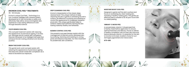

#### **ENVIRON COOL PEEL® TREATMENTS**  45 - 60 minutes

Environ's unique Cool Peel\_ Technology is a non-invasive, intelligent skin renewal system developed by Dr Des Fernandes to safely and effectively help refine, revive and brighten skin. Experience a real, lasting difference to skin through beautiful science.

#### **YOUTH RENEW COOL PEEL**

This cool peel treatment assists with reducing the appearance of premature ageing, fi ne lines, sun-damage and an uneven skin complexion. Discover the power of an intelligent skin peel that will leave the skin looking refreshed and vibrantly youthful.

#### **BRIGHT RECOVERY COOL PEEL**

This gentle lactic acid cool peel assists with reducing the appearance of premature ageing, fine lines and uneven toned skin complexion as a result of excessive sun exposure.

#### **DEEP CLEANSING COOL PEEL**

Environ's interpretation of the classic deep cleanse facial. This unique method of deep cleansing the skin is gentle in exfoliating the skin's surface, yet effective in purifying and assisting to control the appearance of congested, breakoutprone skin. This unique, gentle peel helps to achieve visible improvements, leaving the skin looking radiantly healthy and refreshed.

#### **BLEMISH CONTROL COOL PEEL**

This powerful cool peel therapy assists with the management of blemish prone, distressed skin, by purifying, cleansing and assisting to unclog pores and dissolve impurities. Our hero treatment for problematic skin conditions.



#### **MOISTURE BOOST COOL PEEL**

Designed to gently buff the skin's surface and focus on revitalising dry, tired-looking skin, revealing a healthy-looking glow. This gentle yet effective peel is suitable to do all year round with no visible peeling.

#### **VIBRANT-C MICRO PEEL**

A concentrated, vitamin C infused peel that is freshly mixed before application to ensure optimal freshness and efficacy. Proven to deliver a healthy complexion with an even skin tone and texture because vitamin C is essential for the skin to function at its best. Excellent choice for sundamaged, pigmented and mature skins

**€70-€80**

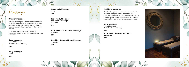Massage

#### **Swedish Massage**

Swedish massage is a whole-body therapeutic massage treatment that works the soft tissues and muscles to help restore health - creating a calming and balancing effect on the nervous system.

Indulge in a beautiful massage using a customised blend of aromatherapy oils to meet your needs.

#### **Body Massage**

1 Hour 20 Minutes (Includes Head Massage)

**€105** 

**Body Massage** 1 Hour

**€90**

**Upper Body Massage**  1 Hour

**€90**

**Back, Neck, Shoulder and Head Massage**  45 Minutes

**€75**

#### **Back, Neck and Shoulder Massage**  30 Minutes

**€60**

**Shoulder, Neck and Head Massage**  30 Minutes

**€60**

#### **Hot Stone Massage**

Heat has long been used to ease muscle tension and pain. It helps increase blood flow and improves circulation. Hot Stone Massage therapy involves using heated Basalt stones with medium pressure for the ultimate relaxation experience.

**Body Massage**  1 Hour 20 Minutes

(Includes Head Massage)

**€120**



**Back, Neck, Shoulder and Head Massage** 

**€80**



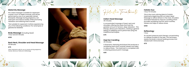#### **Maternity Massage**

Pre-natal massage is suitable for expectant mother's from 14 weeks onwards, and will be performed by one of our specially trained therapists. Massage during pregnancy can ease pain and reduce anxiety whilst promoting relaxation and relieving tired muscles.

\*Not suitable for expectant mothers experiencing any of the following conditions: Pre-eclampsia or gestational diabetes

**Body Massage** (Including Head) 1 Hour and 20 minutes

**€105**

**Back Neck, Shoulder and Head Massage**  45 Minutes

#### **€75**

*Other treatments safe for you to receive during pregnancy: Facials, Manicure, Pedicure & Reflexology.*



listic Treatments

#### **Indian Head Massage** 45 minutes

A concentrated massage of head, neck and shoulders offering the areas that hold the greatest amount of tension, deep relaxation. This therapy allows pure relaxation, creating a general feeling of wellbeing and is performed using the traditional techniques.

**€75**

#### **Hopi Ear Candling** 45 minutes

A Shamanic cleansing technique that produces a revitalising heat which soothes relaxes and helps to relieve stress. This treatment is completed with a relaxing pressure point massage.

**€65**



This is the most calming blend of holistic treatments beginning with an Indian Head Massage to relieve tension in the neck, shoulders and head followed by Hopi Ear Candling which provides revitalising warmth which soothes, relaxes and helps to relieve stress.

**€100**

## **Reflexology**

1 Hour

An ancient pressure point therapy concentrating on reflexes located on the feet. This technique assists the body's natural healing process and relaxes both mind and body

**€70**

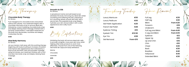herapieg

**Chocolate Body Therapy** 1hr 15mins

Pure indulgence for chocolate lovers everywhere without the calories. Your treatment begins with a chocolate chip body scrub to remove dead skin, followed by a warm bubbling chocolate body wrap and deeply relaxing head massage, finished with a full body moisturisation. A decadent treatment for the body that rejuvenates, nourishes and deeply moisturises the skin.

**€100**

#### **Aloe Body Harmony** 1hr 15mins

Let your tension melt away with this soothing therapy beginning with body brushing to increase circulation and improve skin appearance, this is followed by a back scrub and back, neck and shoulder massage using hot stones, your treatment finishes with a mint and aloe Vera body wrap and deeply relaxing head massage.

**€100**

#### **Smooth As Silk** 1hr 20mins

A sensational marine and salt based scrub exfoliates the body removing any dead skin whilst nourishing and softening the skin, preparing it for a stunning velvety smooth silk wrap. Like a second skin, this exquisite body wrap deeply hydrates your skin and provides it with a satin appearance and a silky touch.

**€100**

Body Exfoliations

Exfoliating the body will remove dead skin cells to provide a brighter, more even skin tone, whilst helping other body products to work more effectively. Choose from one of the following Germaine de Capuccini body exfoliators:

Marine

Chocolate

Lavender

**€65**

Finishing Touches

| <b>Luxury Manicure</b>        | €55                |
|-------------------------------|--------------------|
| <b>Luxury Pedicure</b>        | €65                |
| <b>Gel Polish Application</b> | €25                |
| French Gel Polish             | €28                |
| Eyebrow Tinting               | €10                |
| <b>Eyelash Tint</b>           | €12.50             |
| Eye Trio                      | €28                |
| Gel Removal                   | From $\epsilon$ 15 |
|                               |                    |

Hair Demoval

| <b>Full Leg</b>        | €35      |
|------------------------|----------|
| <b>Half Leg</b>        | €20      |
| <b>Bikini</b>          | From €20 |
| Forearm                | €18      |
| Underarm               | €12      |
| Full Leg and Bikini    | From €45 |
| 1/2 Leg and Bikini     | From €35 |
| Eyebrow                | €12      |
| Upper Lip              | €10      |
| Lip and Chin           | €16      |
| Chin                   | €10      |
| Chest                  | €20      |
| Back                   | €30      |
| <b>Brazilian</b>       | €40      |
| Hollywood              | €45      |
| <b>Extended Bikini</b> | €30      |

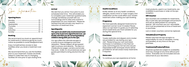#### Makeup Applications **From £20 Pregnancy**

## Spa Information

## Opening Hours

We ask that you arrive 1 hour prior to your scheduled start time. This will enable you to complete a pre-treatment questionnaire, change, familiarise yourself with our surroundings and to relax and unwind in preparation for your treatment. Please be advised that late arrivals may result in a reduction of treatment time.

#### Booking

We recommend you book an appointment for treatments in advance giving as much notice as possible to avoid disappointment.

Enjoy Complimentary access to Spa Facilities when you book a treatment over €55.

We recommend that you use the facilities prior to your treatment. Guests are kindly asked to make their way to changing facilities 30 mins prior to spa closing time.

Luxury Pedicure **£40** allergies, recent minor or major surgery and medication as this could affect your chosen French Gel Polish **£22** Kindly advise us of any health conditions, treatment when making your spa booking.

#### Arrival

Eyebrow Tinting **£7** expectant women (over 14 weeks) Please allow our spa team to guide you in selecting during this special time. We have specially designed treatments for which treatments are most suitable for you

## Gel Removal From **£8** Provisions

#### Spa Etiquette

#### The spa is an adult only environment and open only to persons aged 16 and over, we kindly ask that you do not bring babies/ children along with you to the spa.

Our spa offers the ultimate escape to a world of pure indulgence and total relaxation. Please respect all spa guests' right to privacy and serenity. The spa is a mobile phone, pager, camera and smoke free zone. Under no circumstances are spa guests permitted to bring alcohol into the spa.

## **Health Conditions**

Towels, bathrobe and slippers and a locker are provided for use during your spa visit. Please bring your own swimwear. Swimwear is mandatory in the thermal suite, swimming pool, hot tub and Jacuzzi. Disposable briefs and boxer shorts will be provided for all wet and/or body treatments if required.

#### Home care

To continue your spa experience at home

most products, used in our treatments, are available to purchase or order at the spa reception.

### Gift Voucher

Spa vouchers are available for treatments, day or part day spa packages and products and are an ideal present for someone special. Gift vouchers are non-refundable and must be presented at time of treatment or purchase.

Lost or stolen vouchers cannot be replaced.

## Valuables/Lost Property

Please note that the spa accepts no responsibility for loss of valuables, money and jewellery at any time on the spa premises.

## Treatments/Products/Prices

All prices quoted are subject to availability and may change at any time without prior notice. Gratuities are not included and are welcomed at your discretion.